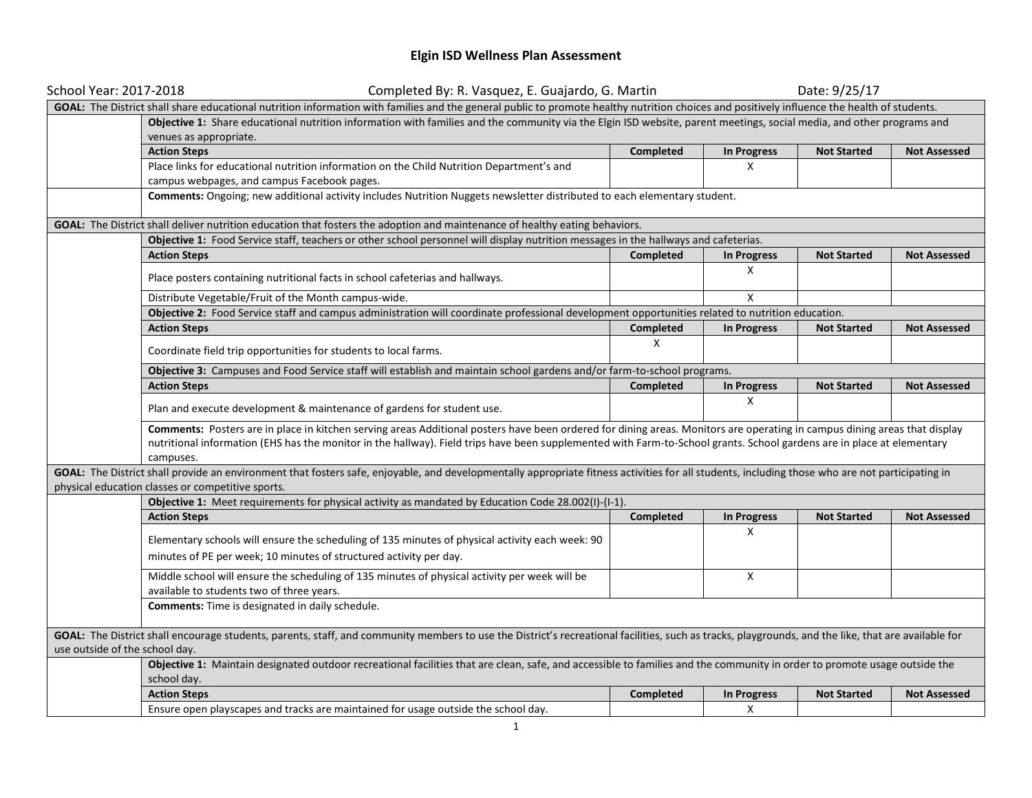## **Elgin ISD Wellness Plan Assessment**

| School Year: 2017-2018         | Completed By: R. Vasquez, E. Guajardo, G. Martin                                                                                                                                                                                                                                                                                                                 |           |                    | Date: 9/25/17      |                     |  |  |  |
|--------------------------------|------------------------------------------------------------------------------------------------------------------------------------------------------------------------------------------------------------------------------------------------------------------------------------------------------------------------------------------------------------------|-----------|--------------------|--------------------|---------------------|--|--|--|
|                                | GOAL: The District shall share educational nutrition information with families and the general public to promote healthy nutrition choices and positively influence the health of students.                                                                                                                                                                      |           |                    |                    |                     |  |  |  |
|                                | Objective 1: Share educational nutrition information with families and the community via the Elgin ISD website, parent meetings, social media, and other programs and                                                                                                                                                                                            |           |                    |                    |                     |  |  |  |
|                                | venues as appropriate.                                                                                                                                                                                                                                                                                                                                           |           |                    |                    |                     |  |  |  |
|                                | <b>Action Steps</b>                                                                                                                                                                                                                                                                                                                                              | Completed | <b>In Progress</b> | <b>Not Started</b> | <b>Not Assessed</b> |  |  |  |
|                                | Place links for educational nutrition information on the Child Nutrition Department's and                                                                                                                                                                                                                                                                        |           | X                  |                    |                     |  |  |  |
|                                | campus webpages, and campus Facebook pages.                                                                                                                                                                                                                                                                                                                      |           |                    |                    |                     |  |  |  |
|                                | Comments: Ongoing; new additional activity includes Nutrition Nuggets newsletter distributed to each elementary student.                                                                                                                                                                                                                                         |           |                    |                    |                     |  |  |  |
|                                | GOAL: The District shall deliver nutrition education that fosters the adoption and maintenance of healthy eating behaviors.                                                                                                                                                                                                                                      |           |                    |                    |                     |  |  |  |
|                                | Objective 1: Food Service staff, teachers or other school personnel will display nutrition messages in the hallways and cafeterias.                                                                                                                                                                                                                              |           |                    |                    |                     |  |  |  |
|                                | <b>Action Steps</b>                                                                                                                                                                                                                                                                                                                                              | Completed | <b>In Progress</b> | <b>Not Started</b> | <b>Not Assessed</b> |  |  |  |
|                                | Place posters containing nutritional facts in school cafeterias and hallways.                                                                                                                                                                                                                                                                                    |           | X                  |                    |                     |  |  |  |
|                                | Distribute Vegetable/Fruit of the Month campus-wide.                                                                                                                                                                                                                                                                                                             |           | X                  |                    |                     |  |  |  |
|                                | Objective 2: Food Service staff and campus administration will coordinate professional development opportunities related to nutrition education.                                                                                                                                                                                                                 |           |                    |                    |                     |  |  |  |
|                                | <b>Action Steps</b>                                                                                                                                                                                                                                                                                                                                              | Completed | In Progress        | <b>Not Started</b> | <b>Not Assessed</b> |  |  |  |
|                                | Coordinate field trip opportunities for students to local farms.                                                                                                                                                                                                                                                                                                 | X         |                    |                    |                     |  |  |  |
|                                | Objective 3: Campuses and Food Service staff will establish and maintain school gardens and/or farm-to-school programs.                                                                                                                                                                                                                                          |           |                    |                    |                     |  |  |  |
|                                | <b>Action Steps</b>                                                                                                                                                                                                                                                                                                                                              | Completed | <b>In Progress</b> | <b>Not Started</b> | <b>Not Assessed</b> |  |  |  |
|                                | Plan and execute development & maintenance of gardens for student use.                                                                                                                                                                                                                                                                                           |           | X                  |                    |                     |  |  |  |
|                                | Comments: Posters are in place in kitchen serving areas Additional posters have been ordered for dining areas. Monitors are operating in campus dining areas that display<br>nutritional information (EHS has the monitor in the hallway). Field trips have been supplemented with Farm-to-School grants. School gardens are in place at elementary<br>campuses. |           |                    |                    |                     |  |  |  |
|                                | GOAL: The District shall provide an environment that fosters safe, enjoyable, and developmentally appropriate fitness activities for all students, including those who are not participating in                                                                                                                                                                  |           |                    |                    |                     |  |  |  |
|                                | physical education classes or competitive sports.                                                                                                                                                                                                                                                                                                                |           |                    |                    |                     |  |  |  |
|                                | Objective 1: Meet requirements for physical activity as mandated by Education Code 28.002(I)-(I-1).                                                                                                                                                                                                                                                              |           |                    |                    |                     |  |  |  |
|                                | <b>Action Steps</b>                                                                                                                                                                                                                                                                                                                                              | Completed | <b>In Progress</b> | <b>Not Started</b> | <b>Not Assessed</b> |  |  |  |
|                                | Elementary schools will ensure the scheduling of 135 minutes of physical activity each week: 90<br>minutes of PE per week; 10 minutes of structured activity per day.                                                                                                                                                                                            |           | X                  |                    |                     |  |  |  |
|                                | Middle school will ensure the scheduling of 135 minutes of physical activity per week will be<br>available to students two of three years.                                                                                                                                                                                                                       |           | X                  |                    |                     |  |  |  |
|                                | Comments: Time is designated in daily schedule.                                                                                                                                                                                                                                                                                                                  |           |                    |                    |                     |  |  |  |
| use outside of the school day. | GOAL: The District shall encourage students, parents, staff, and community members to use the District's recreational facilities, such as tracks, playgrounds, and the like, that are available for                                                                                                                                                              |           |                    |                    |                     |  |  |  |
|                                | Objective 1: Maintain designated outdoor recreational facilities that are clean, safe, and accessible to families and the community in order to promote usage outside the<br>school day.                                                                                                                                                                         |           |                    |                    |                     |  |  |  |
|                                | <b>Action Steps</b>                                                                                                                                                                                                                                                                                                                                              | Completed | <b>In Progress</b> | <b>Not Started</b> | <b>Not Assessed</b> |  |  |  |
|                                | Ensure open playscapes and tracks are maintained for usage outside the school day.                                                                                                                                                                                                                                                                               |           | X                  |                    |                     |  |  |  |
|                                |                                                                                                                                                                                                                                                                                                                                                                  |           |                    |                    |                     |  |  |  |